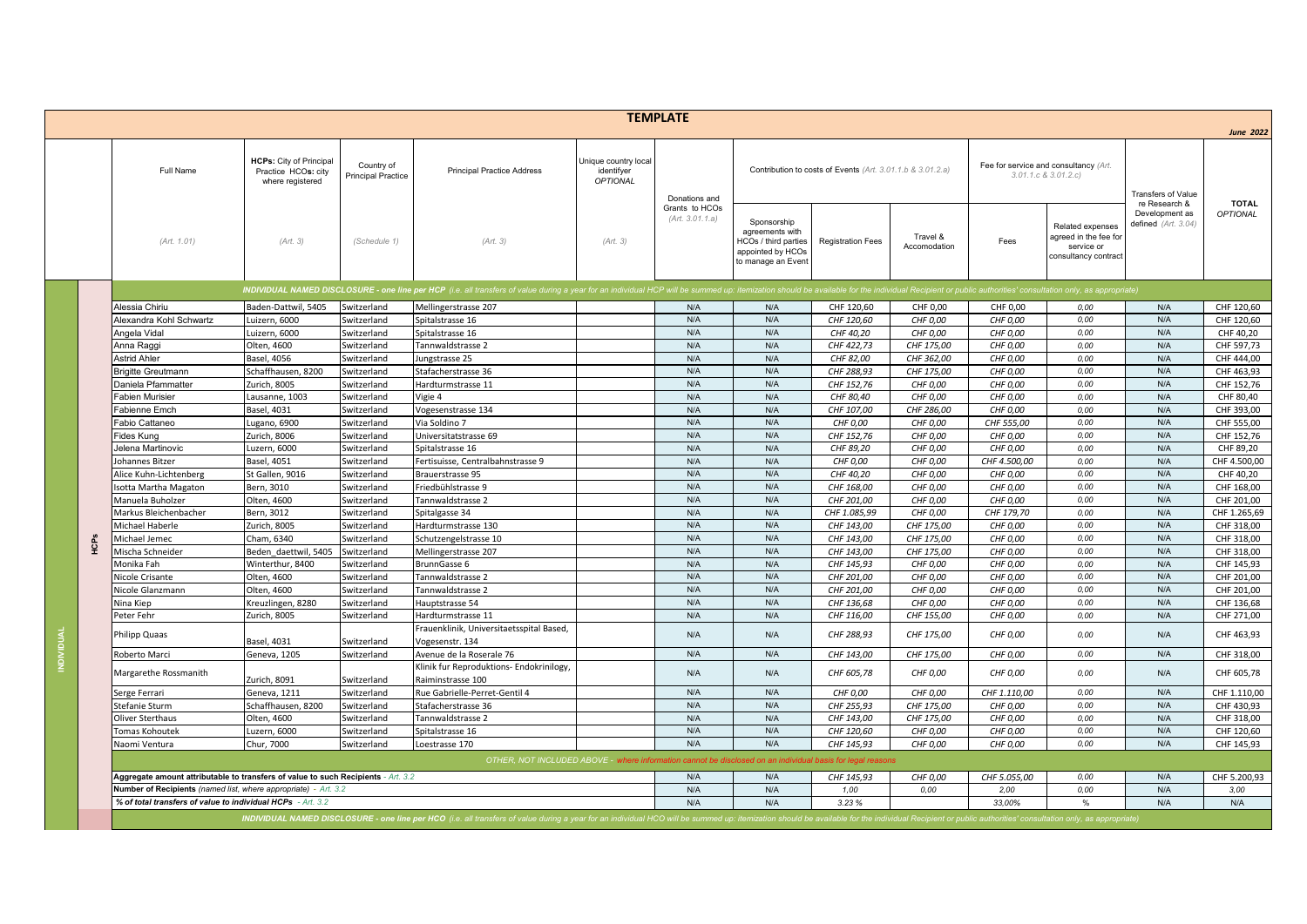|                   |             |                                                                                                                     |                                                                           |                                         |                                                                                                                                                                                                                                |                                                       | <b>TEMPLATE</b>                   |                                                                                                          |                          |                          |                                                              |                                                                                 |                                                          | <b>June 2022</b>                |
|-------------------|-------------|---------------------------------------------------------------------------------------------------------------------|---------------------------------------------------------------------------|-----------------------------------------|--------------------------------------------------------------------------------------------------------------------------------------------------------------------------------------------------------------------------------|-------------------------------------------------------|-----------------------------------|----------------------------------------------------------------------------------------------------------|--------------------------|--------------------------|--------------------------------------------------------------|---------------------------------------------------------------------------------|----------------------------------------------------------|---------------------------------|
|                   |             | Full Name                                                                                                           | <b>HCPs:</b> City of Principal<br>Practice HCOs: city<br>where registered | Country of<br><b>Principal Practice</b> | <b>Principal Practice Address</b>                                                                                                                                                                                              | Unique country local<br>identifyer<br><b>OPTIONAL</b> | Donations and                     | Contribution to costs of Events (Art. 3.01.1.b & 3.01.2.a)                                               |                          |                          | Fee for service and consultancy (Art.<br>3.01.1.c & 3.01.2.c |                                                                                 | Transfers of Value                                       |                                 |
|                   |             | (Art. 1.01)                                                                                                         | (Art. 3)                                                                  | (Schedule 1)                            | (Art. 3)                                                                                                                                                                                                                       | (Art. 3)                                              | Grants to HCOs<br>(Art. 3.01.1.a) | Sponsorship<br>agreements with<br><b>ICOs / third parties</b><br>appointed by HCOs<br>to manage an Event | <b>Registration Fees</b> | Travel &<br>Accomodation | Fees                                                         | Related expenses<br>agreed in the fee for<br>service or<br>consultancy contract | re Research &<br>Development as<br>defined $(Art. 3.04)$ | <b>TOTAL</b><br><b>OPTIONAL</b> |
|                   |             |                                                                                                                     |                                                                           |                                         | INDIVIDUAL NAMED DISCLOSURE - one line per HCP (i.e. all transfers of value during a year for an individual HCP will be summed up: itemization should be available for the individual Recipient or public authorities' consult |                                                       |                                   |                                                                                                          |                          |                          |                                                              |                                                                                 |                                                          |                                 |
|                   |             | Alessia Chiriu                                                                                                      | Baden-Dattwil, 5405                                                       | Switzerland                             | Mellingerstrasse 207                                                                                                                                                                                                           |                                                       | N/A                               | N/A                                                                                                      | CHF 120,60               | CHF 0.00                 | CHF 0,00                                                     | 0.00                                                                            | N/A                                                      | CHF 120,60                      |
|                   |             | Alexandra Kohl Schwartz                                                                                             | Luizern, 6000                                                             | Switzerland                             | Spitalstrasse 16                                                                                                                                                                                                               |                                                       | N/A                               | N/A                                                                                                      | CHF 120,60               | CHF 0,00                 | CHF 0,00                                                     | 0,00                                                                            | N/A                                                      | CHF 120,60                      |
|                   |             | Angela Vidal                                                                                                        | Luizern, 6000                                                             | Switzerland                             | Spitalstrasse 16                                                                                                                                                                                                               |                                                       | N/A                               | N/A                                                                                                      | CHF 40,20                | CHF 0,00                 | CHF 0,00                                                     | 0,00                                                                            | N/A                                                      | CHF 40,20                       |
|                   |             | Anna Raggi                                                                                                          | Olten, 4600                                                               | Switzerland                             | Tannwaldstrasse 2                                                                                                                                                                                                              |                                                       | N/A                               | N/A                                                                                                      | CHF 422,73               | CHF 175,00               | CHF 0,00                                                     | 0,00                                                                            | N/A                                                      | CHF 597,73                      |
|                   |             | Astrid Ahler                                                                                                        | Basel, 4056                                                               | Switzerland                             | Jungstrasse 25                                                                                                                                                                                                                 |                                                       | N/A                               | N/A                                                                                                      | CHF 82,00                | CHF 362,00               | CHF 0,00                                                     | 0,00                                                                            | N/A                                                      | CHF 444,00                      |
|                   |             | <b>Brigitte Greutmann</b>                                                                                           | Schaffhausen, 8200                                                        | Switzerland                             | Stafacherstrasse 36                                                                                                                                                                                                            |                                                       | N/A                               | N/A                                                                                                      | CHF 288.93               | CHF 175.00               | CHF 0,00                                                     | 0.00                                                                            | N/A                                                      | CHF 463.93                      |
|                   |             | Daniela Pfammatter                                                                                                  | Zurich, 8005                                                              | Switzerland                             | Hardturmstrasse 11                                                                                                                                                                                                             |                                                       | N/A                               | N/A                                                                                                      | CHF 152,76               | CHF 0,00                 | CHF 0,00                                                     | 0.00                                                                            | N/A                                                      | CHF 152,76                      |
|                   |             | Fabien Murisier                                                                                                     | Lausanne, 1003                                                            | Switzerland                             | Vigie 4                                                                                                                                                                                                                        |                                                       | N/A                               | N/A                                                                                                      | CHF 80,40                | CHF 0,00                 | CHF 0,00                                                     | 0.00                                                                            | N/A                                                      | CHF 80.40                       |
|                   |             | Fabienne Emch                                                                                                       | Basel, 4031                                                               | Switzerland                             | Vogesenstrasse 134                                                                                                                                                                                                             |                                                       | N/A                               | N/A                                                                                                      | CHF 107.00               | CHF 286,00               | CHF 0,00                                                     | 0,00                                                                            | N/A                                                      | CHF 393.00                      |
|                   |             | Fabio Cattaneo                                                                                                      | Lugano, 6900                                                              | Switzerland                             | Via Soldino 7                                                                                                                                                                                                                  |                                                       | N/A                               | N/A                                                                                                      | CHF 0,00                 | CHF 0,00                 | CHF 555,00                                                   | 0.00                                                                            | N/A                                                      | CHF 555,00                      |
|                   |             | Fides Kung                                                                                                          | Zurich, 8006                                                              | Switzerland                             | Universitatstrasse 69                                                                                                                                                                                                          |                                                       | N/A                               | N/A                                                                                                      | CHF 152,76               | CHF 0,00                 | CHF 0,00                                                     | 0,00                                                                            | N/A                                                      | CHF 152,76                      |
|                   |             | Jelena Martinovic                                                                                                   | Luzern, 6000                                                              | Switzerland                             | Spitalstrasse 16                                                                                                                                                                                                               |                                                       | N/A                               | N/A                                                                                                      | CHF 89,20                | CHF 0,00                 | CHF 0,00                                                     | 0.00                                                                            | N/A                                                      | CHF 89,20                       |
|                   |             | Johannes Bitzer                                                                                                     | <b>Basel, 4051</b>                                                        | Switzerland                             | Fertisuisse, Centralbahnstrasse 9                                                                                                                                                                                              |                                                       | N/A                               | N/A                                                                                                      | CHF 0,00                 | CHF 0,00                 | CHF 4.500,00                                                 | 0,00                                                                            | N/A                                                      | CHF 4.500,00                    |
|                   |             | Alice Kuhn-Lichtenberg                                                                                              | St Gallen, 9016                                                           | Switzerland                             | Brauerstrasse 95                                                                                                                                                                                                               |                                                       | N/A                               | N/A                                                                                                      | CHF 40,20                | CHF 0,00                 | CHF 0,00                                                     | 0.00                                                                            | N/A                                                      | CHF 40,20                       |
|                   |             | Isotta Martha Magaton                                                                                               | Bern, 3010                                                                | Switzerland                             | Friedbühlstrasse 9                                                                                                                                                                                                             |                                                       | N/A                               | N/A                                                                                                      | CHF 168,00               | CHF 0,00                 | CHF 0,00                                                     | 0,00                                                                            | N/A                                                      | CHF 168,00                      |
|                   |             | Manuela Buholzer                                                                                                    | Olten, 4600                                                               | Switzerland                             | Tannwaldstrasse 2                                                                                                                                                                                                              |                                                       | N/A                               | N/A                                                                                                      | CHF 201.00               | CHF 0.00                 | CHF 0.00                                                     | 0,00                                                                            | N/A                                                      | CHF 201.00                      |
|                   |             | Markus Bleichenbacher                                                                                               | Bern, 3012                                                                | Switzerland                             | Spitalgasse 34                                                                                                                                                                                                                 |                                                       | N/A                               | N/A                                                                                                      | CHF 1.085,99             | CHF 0.00                 | CHF 179,70                                                   | 0.00                                                                            | N/A                                                      | CHF 1.265.69                    |
|                   |             | Michael Haberle                                                                                                     | Zurich, 8005                                                              | Switzerland                             | Hardturmstrasse 130                                                                                                                                                                                                            |                                                       | N/A                               | N/A                                                                                                      | CHF 143,00               | CHF 175,00               | CHF 0,00                                                     | 0,00                                                                            | N/A                                                      | CHF 318,00                      |
|                   | <b>ACPS</b> | Michael Jemec                                                                                                       | Cham. 6340                                                                | Switzerland                             | Schutzengelstrasse 10                                                                                                                                                                                                          |                                                       | N/A                               | N/A                                                                                                      | CHF 143,00               | CHF 175,00               | CHF 0,00                                                     | 0,00                                                                            | N/A                                                      | CHF 318.00                      |
|                   |             | Mischa Schneider                                                                                                    | Beden daettwil, 5405                                                      | Switzerland                             | Mellingerstrasse 207                                                                                                                                                                                                           |                                                       | N/A                               | N/A                                                                                                      | CHF 143,00               | CHF 175.00               | CHF 0,00                                                     | 0.00                                                                            | N/A                                                      | CHF 318.00                      |
|                   |             | Monika Fah                                                                                                          | Winterthur, 8400                                                          | Switzerland                             | BrunnGasse 6                                                                                                                                                                                                                   |                                                       | N/A                               | N/A                                                                                                      | CHF 145,93               | CHF 0,00                 | CHF 0,00                                                     | 0.00                                                                            | N/A                                                      | CHF 145,93                      |
|                   |             | Nicole Crisante                                                                                                     | Olten, 4600                                                               | Switzerland                             | Tannwaldstrasse 2                                                                                                                                                                                                              |                                                       | N/A                               | N/A                                                                                                      | CHF 201,00               | CHF 0,00                 | CHF 0,00                                                     | 0.00                                                                            | N/A                                                      | CHF 201,00                      |
|                   |             | Nicole Glanzmann                                                                                                    | Olten, 4600                                                               | Switzerland                             | Tannwaldstrasse 2                                                                                                                                                                                                              |                                                       | N/A                               | N/A                                                                                                      | CHF 201,00               | CHF 0,00                 | CHF 0,00                                                     | 0,00                                                                            | N/A                                                      | CHF 201.00                      |
|                   |             | Nina Kiep                                                                                                           | Kreuzlingen, 8280                                                         | Switzerland                             | Hauptstrasse 54                                                                                                                                                                                                                |                                                       | N/A                               | N/A                                                                                                      | CHF 136,68               | CHF 0,00                 | CHF 0,00                                                     | 0,00                                                                            | N/A                                                      | CHF 136,68                      |
|                   |             | Peter Fehr                                                                                                          | Zurich, 8005                                                              | Switzerland                             | Hardturmstrasse 11                                                                                                                                                                                                             |                                                       | N/A                               | N/A                                                                                                      | CHF 116,00               | CHF 155,00               | CHF 0,00                                                     | 0,00                                                                            | N/A                                                      | CHF 271,00                      |
|                   |             | Philipp Quaas                                                                                                       | Basel, 4031                                                               | Switzerland                             | Frauenklinik, Universitaetsspital Based,<br>Vogesenstr. 134                                                                                                                                                                    |                                                       | N/A                               | N/A                                                                                                      | CHF 288,93               | CHF 175,00               | CHF 0,00                                                     | 0,00                                                                            | N/A                                                      | CHF 463,93                      |
| <b>INDIVIDUAL</b> |             | Roberto Marci                                                                                                       | Geneva, 1205                                                              | Switzerland                             | Avenue de la Roserale 76                                                                                                                                                                                                       |                                                       | N/A                               | N/A                                                                                                      | CHF 143,00               | CHF 175,00               | CHF 0,00                                                     | 0.00                                                                            | N/A                                                      | CHF 318,00                      |
|                   |             | Margarethe Rossmanith                                                                                               | Zurich, 8091                                                              | Switzerland                             | Klinik fur Reproduktions- Endokrinilogy,<br>Raiminstrasse 100                                                                                                                                                                  |                                                       | N/A                               | N/A                                                                                                      | CHF 605,78               | CHF 0,00                 | CHF 0,00                                                     | 0.00                                                                            | N/A                                                      | CHF 605,78                      |
|                   |             | Serge Ferrari                                                                                                       | Geneva, 1211                                                              | Switzerland                             | Rue Gabrielle-Perret-Gentil 4                                                                                                                                                                                                  |                                                       | N/A                               | N/A                                                                                                      | CHF 0,00                 | CHF 0,00                 | CHF 1.110,00                                                 | 0,00                                                                            | N/A                                                      | CHF 1.110,00                    |
|                   |             | Stefanie Sturm                                                                                                      | Schaffhausen, 8200                                                        | Switzerland                             | Stafacherstrasse 36                                                                                                                                                                                                            |                                                       | N/A                               | N/A                                                                                                      | CHF 255,93               | CHF 175,00               | CHF 0,00                                                     | 0,00                                                                            | N/A                                                      | CHF 430,93                      |
|                   |             | <b>Oliver Sterthaus</b>                                                                                             | Olten, 4600                                                               | Switzerland                             | Tannwaldstrasse 2                                                                                                                                                                                                              |                                                       | N/A                               | N/A                                                                                                      | CHF 143,00               | CHF 175,00               | CHF 0,00                                                     | 0,00                                                                            | N/A                                                      | CHF 318,00                      |
|                   |             | Tomas Kohoutek                                                                                                      | Luzern, 6000                                                              | Switzerland                             | Spitalstrasse 16                                                                                                                                                                                                               |                                                       | N/A                               | N/A                                                                                                      | CHF 120,60               | CHF 0,00                 | CHF 0,00                                                     | 0.00                                                                            | N/A                                                      | CHF 120,60                      |
|                   |             | Naomi Ventura                                                                                                       | Chur, 7000                                                                | Switzerland                             | Loestrasse 170                                                                                                                                                                                                                 |                                                       | N/A                               | N/A                                                                                                      | CHF 145,93               | CHF 0,00                 | CHF 0,00                                                     | 0,00                                                                            | N/A                                                      | CHF 145,93                      |
|                   |             | OTHER, NOT INCLUDED ABOVE - where informat<br>n cannot be disclosed on an individual basis for legal reasons<br>N/A |                                                                           |                                         |                                                                                                                                                                                                                                |                                                       |                                   |                                                                                                          |                          |                          |                                                              |                                                                                 |                                                          |                                 |
|                   |             | Aggregate amount attributable to transfers of value to such Recipients - Art. 3.2                                   |                                                                           |                                         |                                                                                                                                                                                                                                |                                                       |                                   | N/A                                                                                                      | CHF 145,93               | CHF 0,00                 | CHF 5.055,00                                                 | 0,00                                                                            | N/A                                                      | CHF 5.200,93                    |
|                   |             | Number of Recipients (named list, where appropriate) - Art. 3.2                                                     |                                                                           |                                         |                                                                                                                                                                                                                                |                                                       | N/A                               | N/A                                                                                                      | 1,00                     | 0,00                     | 2,00                                                         | 0,00                                                                            | N/A                                                      | 3,00                            |
|                   |             | % of total transfers of value to individual HCPs - Art. 3.2                                                         |                                                                           |                                         |                                                                                                                                                                                                                                |                                                       | N/A                               | N/A                                                                                                      | 3.23%                    |                          | 33,00%                                                       |                                                                                 | N/A                                                      | N/A                             |
|                   |             |                                                                                                                     |                                                                           |                                         | (NDIVIDUAL NAMED DISCLOSURE - one line per HCO (i.e. all transfers of value during a year for an individual HCO will be summed up: itemization should be available for the individual Recipient or public authorities' consult |                                                       |                                   |                                                                                                          |                          |                          |                                                              |                                                                                 |                                                          |                                 |